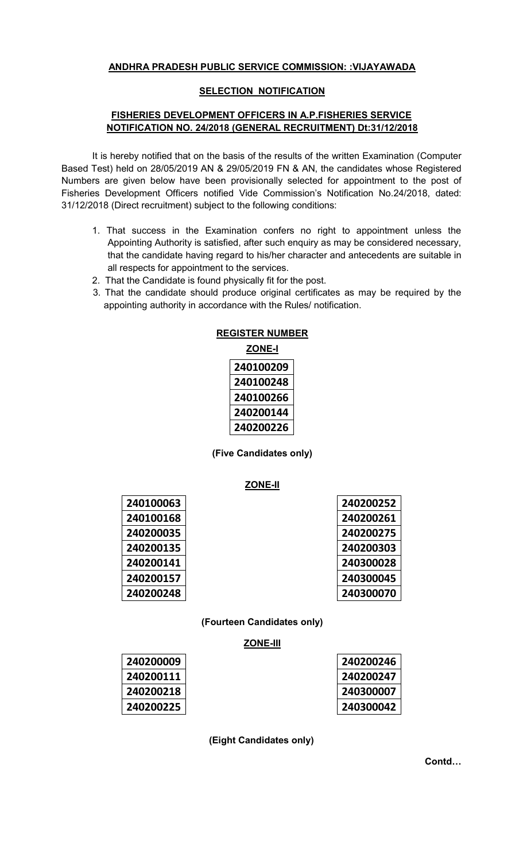# **ANDHRA PRADESH PUBLIC SERVICE COMMISSION: :VIJAYAWADA**

### **SELECTION NOTIFICATION**

## **FISHERIES DEVELOPMENT OFFICERS IN A.P.FISHERIES SERVICE NOTIFICATION NO. 24/2018 (GENERAL RECRUITMENT) Dt:31/12/2018**

It is hereby notified that on the basis of the results of the written Examination (Computer Based Test) held on 28/05/2019 AN & 29/05/2019 FN & AN, the candidates whose Registered Numbers are given below have been provisionally selected for appointment to the post of Fisheries Development Officers notified Vide Commission's Notification No.24/2018, dated: 31/12/2018 (Direct recruitment) subject to the following conditions:

- 1. That success in the Examination confers no right to appointment unless the Appointing Authority is satisfied, after such enquiry as may be considered necessary, that the candidate having regard to his/her character and antecedents are suitable in all respects for appointment to the services.
- 2. That the Candidate is found physically fit for the post.
- 3. That the candidate should produce original certificates as may be required by the appointing authority in accordance with the Rules/ notification.

| <b>REGISTER NUMBER</b> |               |  |  |
|------------------------|---------------|--|--|
|                        | <b>ZONE-I</b> |  |  |
|                        | 240100209     |  |  |
|                        | 240100248     |  |  |
|                        | 240100266     |  |  |
|                        | 240200144     |  |  |
|                        | 240200226     |  |  |

**(Five Candidates only)** 

**ZONE-II**

| 240100063 |
|-----------|
| 240100168 |
| 240200035 |
| 240200135 |
| 240200141 |
| 240200157 |
| 240200248 |

| 240200252 |
|-----------|
| 240200261 |
| 240200275 |
| 240200303 |
| 240300028 |
| 240300045 |
| 240300070 |

**(Fourteen Candidates only)** 

# **ZONE-III**

| 240200009 |
|-----------|
| 240200111 |
| 240200218 |
| 240200225 |

| 240200246 |
|-----------|
| 240200247 |
| 240300007 |
| 240300042 |

**(Eight Candidates only)** 

**Contd…**